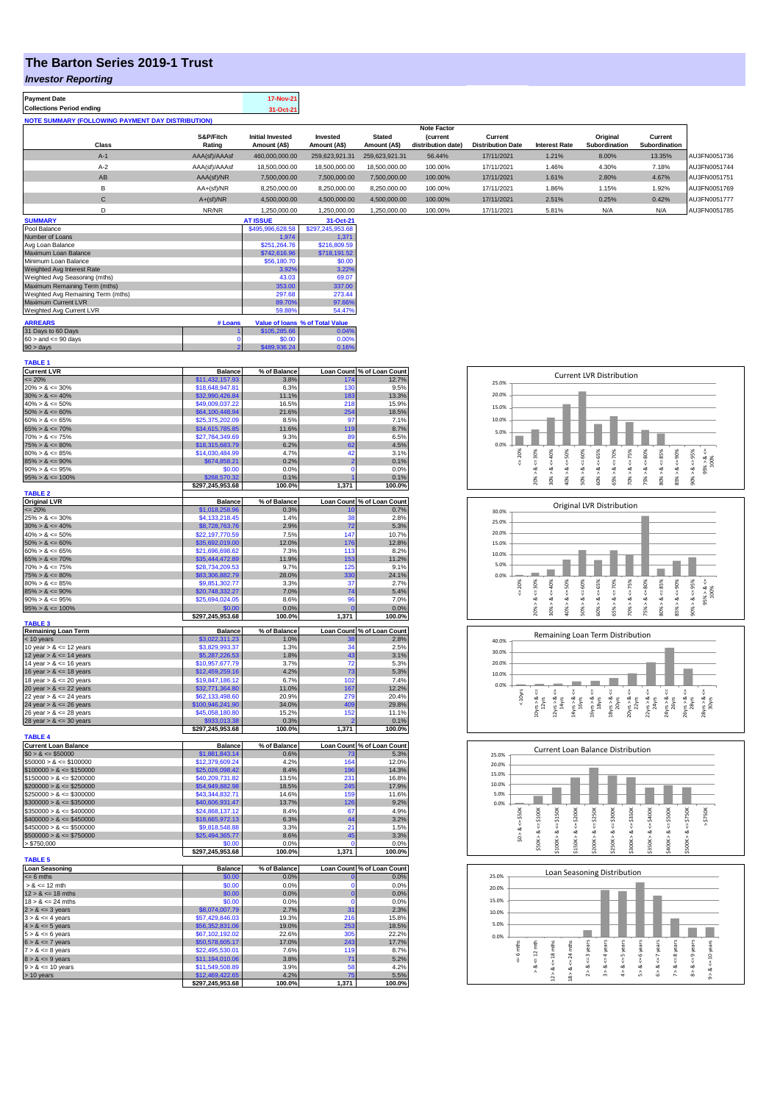# **The Barton Series 2019-1 Trust**

### *Investor Reporting*

| <b>Payment Date</b>                                      | 17-Nov-21 |
|----------------------------------------------------------|-----------|
| <b>Collections Period ending</b>                         | 31-Oct-21 |
| <b>NOTE SUMMARY (FOLLOWING PAYMENT DAY DISTRIBUTION)</b> |           |
|                                                          |           |

|              |               |                         |                |                | <b>Note Factor</b> |                          |                      |               |               |              |
|--------------|---------------|-------------------------|----------------|----------------|--------------------|--------------------------|----------------------|---------------|---------------|--------------|
|              | S&P/Fitch     | <b>Initial Invested</b> | Invested       | <b>Stated</b>  | <b>Current</b>     | Current                  |                      | Original      | Current       |              |
| <b>Class</b> | Rating        | Amount (A\$)            | Amount (A\$)   | Amount (A\$)   | distribution date) | <b>Distribution Date</b> | <b>Interest Rate</b> | Subordination | Subordination |              |
| $A-1$        | AAA(sf)/AAAsf | 460.000.000.00          | 259.623.921.31 | 259.623.921.31 | 56.44%             | 17/11/2021               | 1.21%                | 8.00%         | 13.35%        | AU3FN0051736 |
| $A-2$        | AAA(sf)/AAAsf | 18,500,000,00           | 18,500,000.00  | 18,500,000,00  | 100.00%            | 17/11/2021               | 1.46%                | 4.30%         | 7.18%         | AU3FN0051744 |
| AB           | AAA(sf)/NR    | 7.500.000.00            | 7.500.000.00   | 7.500.000.00   | 100.00%            | 17/11/2021               | 1.61%                | 2.80%         | 4.67%         | AU3FN0051751 |
| в            | AA+(sf)/NR    | 8.250.000.00            | 8.250.000.00   | 8.250.000.00   | 100.00%            | 17/11/2021               | 1.86%                | 1.15%         | 1.92%         | AU3FN0051769 |
| $\mathsf{C}$ | $A+(sf)/NR$   | 4.500.000.00            | 4.500.000.00   | 4.500.000.00   | 100.00%            | 17/11/2021               | 2.51%                | 0.25%         | 0.42%         | AU3FN0051777 |
|              | NR/NR         | 1.250.000.00            | 1.250.000.00   | 1.250.000.00   | 100.00%            | 17/11/2021               | 5.81%                | N/A           | N/A           | AU3FN0051785 |
|              |               |                         |                |                |                    |                          |                      |               |               |              |

| <b>SUMMARY</b>                     |         | <b>AT ISSUE</b>  | 31-Oct-21                       |
|------------------------------------|---------|------------------|---------------------------------|
| Pool Balance                       |         | \$495,996,628.58 | \$297,245,953.68                |
| Number of Loans                    |         | 1.974            | 1.371                           |
| Avg Loan Balance                   |         | \$251.264.76     | \$216,809.59                    |
| Maximum Loan Balance               |         | \$742,616.96     | \$718,191.52                    |
| Minimum Loan Balance               |         | \$56,180.70      | \$0.00                          |
| Weighted Avg Interest Rate         |         | 3.92%            | 3.22%                           |
| Weighted Avg Seasoning (mths)      |         | 43.03            | 69.07                           |
| Maximum Remaining Term (mths)      |         | 353.00           | 337.00                          |
| Weighted Avg Remaining Term (mths) |         | 297.68           | 273.44                          |
| Maximum Current LVR                |         | 89.70%           | 97.66%                          |
| Weighted Avg Current LVR           |         | 59.88%           | 54.47%                          |
| <b>ARREARS</b>                     | # Loans |                  | Value of Ioans % of Total Value |
| 31 Days to 60 Days                 |         | \$105,285,66     | 0.04%                           |
| $60 >$ and $\leq 90$ days          |         | \$0.00           | 0.00%                           |
| $90 > \text{days}$                 | 2       | \$489,936.24     | 0.16%                           |

| <b>TABLE 1</b>                                          |                                    |                      |                            |                                         |
|---------------------------------------------------------|------------------------------------|----------------------|----------------------------|-----------------------------------------|
| <b>Current LVR</b><br>$\leq$ 20%                        | <b>Balance</b><br>\$11,432,157.93  | % of Balance<br>3.8% |                            | Loan Count % of Loan Count<br>174 12.7% |
| $20\% > 8 \le 30\%$                                     | \$18,648,947.81                    | 6.3%                 | 130                        | 9.5%                                    |
| $30\% > 8 \le 40\%$                                     | \$32,990,426.84                    | 11.1%                | 183                        | 13.3%                                   |
| $40\% > 8 \le 50\%$                                     | \$49,009,037.22                    | 16.5%                | 218                        | 15.9%                                   |
| $50\% > 8 \le 60\%$                                     | \$64,100,448.94                    | 21.6%                | 254                        | 18.5%                                   |
| $60\% > 8 \le 65\%$                                     | \$25,375,202.09                    | 8.5%                 | 97                         | 7.1%                                    |
| $65\% > 8 \le 70\%$                                     | \$34,615,785.85                    | 11.6%                | 119                        | 8.7%                                    |
| $70\% > 8 \le 75\%$                                     | \$27,784,349.69                    | 9.3%                 | 89                         | 6.5%                                    |
| $75\% > 8 \le 80\%$                                     | \$18,315,683.79                    | 6.2%                 | 62                         | 4.5%                                    |
| $80\% > 8 \le 85\%$                                     | \$14,030,484.99                    | 4.7%                 | 42                         | 3.1%                                    |
| $85\% > 8 \le 90\%$<br>$90\% > 8 \le 95\%$              | \$674,858.21<br>\$0.00             | 0.2%<br>0.0%         | $\overline{2}$<br>$\Omega$ | 0.1%<br>0.0%                            |
| $95\% > 8 \le 100\%$                                    | \$268,570.32                       | 0.1%                 |                            | 0.1%                                    |
|                                                         | \$297,245,953.68                   | 100.0%               | 1,371                      | 100.0%                                  |
| <b>TABLE 2</b>                                          |                                    |                      |                            |                                         |
| <b>Original LVR</b>                                     | <b>Balance</b>                     | % of Balance         |                            | Loan Count % of Loan Count              |
| $= 20%$                                                 | \$1,018,258.96                     | 0.3%                 | 10                         | 0.7%                                    |
| $25\% > 8 \le 30\%$<br>$30\% > 8 \le 40\%$              | \$4,133,218.45<br>\$8,728,763.76   | 1.4%                 | 38                         | 2.8%<br>5.3%                            |
| $40\% > 8 \le 50\%$                                     | \$22,197,770.59                    | 2.9%<br>7.5%         | 72<br>147                  | 10.7%                                   |
| $50\% > 8 \le 60\%$                                     | \$35,692,019.00                    | 12.0%                | 176                        | 12.8%                                   |
| $60\% > 8 \le 65\%$                                     | \$21,696,698.62                    | 7.3%                 | 113                        | 8.2%                                    |
| $65\% > 8 \le 70\%$                                     | \$35,444,472.89                    | 11.9%                | 153                        | 11.2%                                   |
| $70\% > 8 \le 75\%$                                     | \$28,734,209.53                    | 9.7%                 | 125                        | 9.1%                                    |
| $75\% > 8 \le 80\%$                                     | \$83,306,882.79                    | 28.0%                | 330                        | 24.1%                                   |
| $80\% > 8 \le 85\%$                                     | \$9,851,302.77                     | 3.3%                 | 37                         | 2.7%                                    |
| $85\% > 8 \le 90\%$                                     | \$20,748,332.27                    | 7.0%                 | 74                         | 5.4%                                    |
| $90\% > 8 \le 95\%$                                     | \$25,694,024.05                    | 8.6%                 | 96<br>$\mathbf{0}$         | 7.0%                                    |
| $95\% > 8 \le 100\%$                                    | \$0.00<br>\$297,245,953.68         | 0.0%<br>100.0%       | 1,371                      | 0.0%<br>100.0%                          |
| <b>TABLE 3</b>                                          |                                    |                      |                            |                                         |
| <b>Remaining Loan Term</b>                              | <b>Balance</b>                     | % of Balance         |                            | Loan Count % of Loan Count              |
| < 10 years<br>10 year $> 8 \le 12$ years                | \$3,022,311.23<br>\$3.829.993.37   | 1.0%<br>1.3%         | 38<br>34                   | 2.8%<br>2.5%                            |
| 12 year $> 8 \le 14$ years                              | \$5,287,226.53                     | 1.8%                 | 43                         | 3.1%                                    |
| 14 year $> 8 \le 16$ years                              | \$10,957,677.79                    | 3.7%                 | 72                         | 5.3%                                    |
| 16 year $> 8 \le 18$ years                              | \$12,459,259.16                    | 4.2%                 | 73                         | 5.3%                                    |
| 18 year $> 8 \le 20$ years                              | \$19,847,186.12                    | 6.7%                 | 102                        | 7.4%                                    |
| 20 year $> 8 \le 22$ years                              | \$32,771,364.80                    | 11.0%                | 167                        | 12.2%                                   |
| 22 year $> 8 \le 24$ years                              | \$62,133,498.60                    | 20.9%                | 279                        | 20.4%                                   |
| 24 year $> 8 \le 26$ years                              | \$100,946,241.90                   | 34.0%                | 409                        | 29.8%                                   |
| 26 year $> 8 \le 28$ years                              | \$45,058,180.80                    | 15.2%                | 152<br>b                   | 11.1%                                   |
| 28 year $> 8 \le 30$ years                              | \$933,013.38<br>\$297,245,953.68   | 0.3%<br>100.0%       | 1,371                      | 0.1%<br>100.0%                          |
| <b>TABLE 4</b>                                          |                                    |                      |                            |                                         |
| <b>Current Loan Balance</b>                             | <b>Balance</b>                     | % of Balance         | <b>Loan Count</b>          | % of Loan Count                         |
| $$0 > 8 \le $50000$                                     | \$1,881,843.14                     | 0.6%                 | 73                         | 5.3%                                    |
| $$50000 > 8 \le $100000$                                | \$12,379,609.24                    | 4.2%                 | 164                        | 12.0%                                   |
| $$100000 > 8 \leq $150000$<br>$$150000 > 8 \le $200000$ | \$25,026,098.42<br>\$40,209,731.82 | 8.4%<br>13.5%        | 196<br>231                 | 14.3%<br>16.8%                          |
| $$200000 > 8 \le $250000$                               | \$54,949,882.98                    | 18.5%                | 245                        | 17.9%                                   |
| $$250000 > 8 \le $300000$                               | \$43,344,832.71                    | 14.6%                | 150                        | 11.6%                                   |
| $$300000 > 8 \le $350000$                               | \$40,606,931.47                    | 13.7%                | 126                        | 9.2%                                    |
| $$350000 > 8 \le $400000$                               | \$24,868,137.12                    | 8.4%                 | 67                         | 4.9%                                    |
| $$400000 > 8 \le $450000$                               | \$18,665,972.13                    | 6.3%                 | 44                         | 3.2%                                    |
| $$450000 > 8 \le $500000$                               | \$9,818,548.88                     | 3.3%                 | 21                         | 1.5%                                    |
| $$500000 > 8 \le $750000$                               | \$25,494,365.77                    | 8.6%                 | 45                         | 3.3%                                    |
| > \$750,000                                             | \$0.00<br>\$297,245,953.68         | 0.0%<br>100.0%       | 0<br>1,371                 | 0.0%<br>100.0%                          |
| <b>TABLE 5</b>                                          |                                    |                      |                            |                                         |
| <b>Loan Seasoning</b>                                   | <b>Balance</b>                     | % of Balance         |                            | Loan Count % of Loan Count              |
| $= 6$ mths<br>$> 8 \le 12$ mth                          | \$0.00                             | 0.0%<br>0.0%         | $\mathbf 0$<br>$\Omega$    | 0.0%<br>0.0%                            |
| $12 > 8 \le 18$ mths                                    | \$0.00                             |                      | $\bf{0}$                   | 0.0%                                    |
| $18 > 8 \le 24$ mths                                    | \$0.00<br>\$0.00                   | 0.0%<br>0.0%         | $\Omega$                   | 0.0%                                    |
| $2 > 8 \le 3$ years                                     | \$8,074,007.79                     | 2.7%                 | 31                         | 2.3%                                    |
| $3 > 8 \le 4$ years                                     | \$57,429,846.03                    | 19.3%                | 216                        | 15.8%                                   |
| $4 > 8 \le 5$ years                                     | \$56,352,831.06                    | 19.0%                | 253                        | 18.5%                                   |
| $5 > 8 \le 6$ years                                     | \$67,102,192.02                    | 22.6%                | 305                        | 22.2%                                   |
| $6 > 8 \le 7$ years                                     | \$50,578,605.17                    | 17.0%                | 243                        | 17.7%                                   |
| $7 > 8 \le 8$ years                                     | \$22,495,530.01                    | 7.6%                 | 119                        | 8.7%                                    |
| $8 > 8 \le 9$ years<br>$9 > 8 \le 10$ years             | \$11,194,010.06<br>\$11,549,508.89 | 3.8%<br>3.9%         | 71<br>58                   | 5.2%<br>4.2%                            |
| > 10 years                                              | \$12,469,422.65                    | 4.2%                 | 75                         | 5.5%                                    |
|                                                         | \$297,245,953.68                   | 100.0%               | 1,371                      | 100.0%                                  |
|                                                         |                                    |                      |                            |                                         |









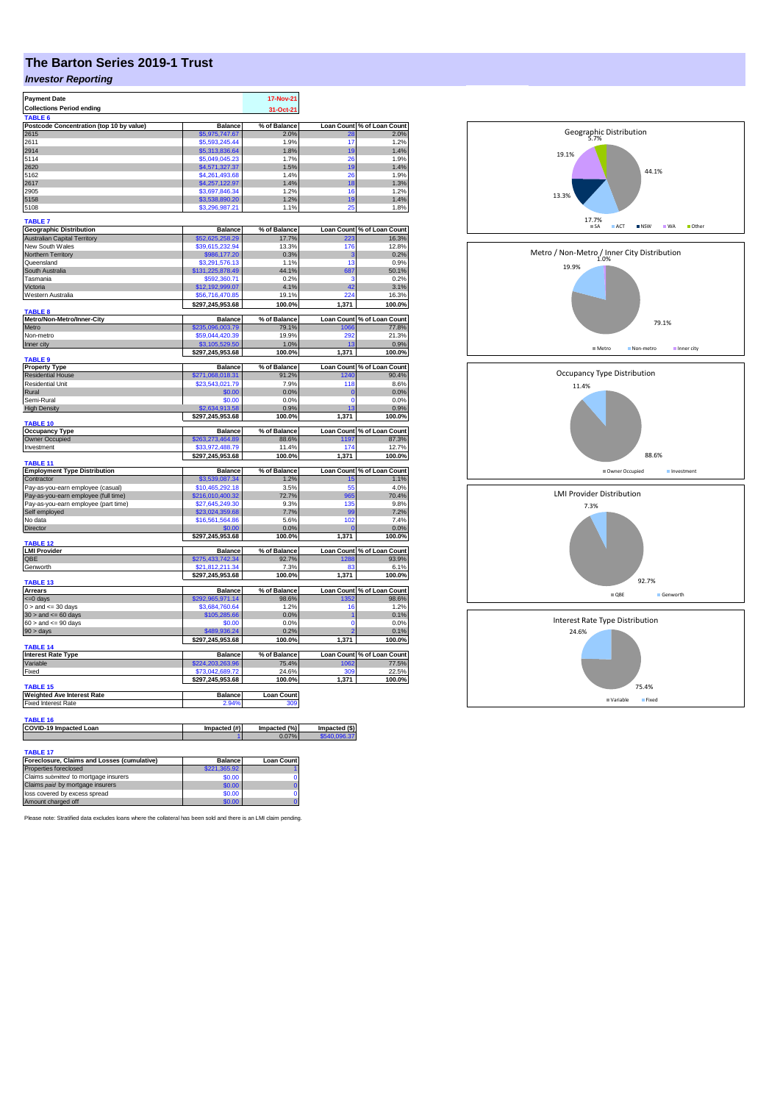# **The Barton Series 2019-1 Trust**

## *Investor Reporting*

| <b>Payment Date</b>                                            |                                     | 17-Nov-21             |                   |                                     |
|----------------------------------------------------------------|-------------------------------------|-----------------------|-------------------|-------------------------------------|
| <b>Collections Period ending</b>                               |                                     | 31-Oct-21             |                   |                                     |
| TABLE 6                                                        |                                     |                       |                   |                                     |
| Postcode Concentration (top 10 by value)                       | <b>Balance</b>                      | % of Balance          | <b>Loan Count</b> | % of Loan Count                     |
| 2615                                                           | \$5.975.747.67                      | 2.0%                  |                   | 2.0%                                |
| 2611<br>2914                                                   | \$5,593,245.44                      | 1.9%<br>1.8%          | 17<br>19          | 1.2%<br>1.4%                        |
| 5114                                                           | \$5,313,836.64<br>\$5,049,045.23    | 1.7%                  | 26                | 1.9%                                |
| 2620                                                           | \$4,571,327.37                      | 1.5%                  | 19                | 1.4%                                |
| 5162                                                           | \$4,261,493,68                      | 1.4%                  | 26                | 1.9%                                |
| 2617                                                           | \$4,257,122.97                      | 1.4%                  | 18                | 1.3%                                |
| 2905                                                           | \$3,697,846.34                      | 1.2%                  | 16                | 1.2%                                |
| 5158                                                           | \$3,538,890.20                      | 1.2%                  | 19                | 1.4%                                |
| 5108                                                           | \$3,296,987.21                      | 1.1%                  | 25                | 1.8%                                |
|                                                                |                                     |                       |                   |                                     |
| <b>TABLE 7</b>                                                 |                                     |                       |                   |                                     |
| <b>Geographic Distribution</b>                                 | <b>Balance</b><br>\$52,625,258.29   | % of Balance          | <b>Loan Count</b> | % of Loan Count                     |
| Australian Capital Territory<br>New South Wales                | \$39,615,232.94                     | 17.7%<br>13.3%        | 176               | 16.3%<br>12.8%                      |
| Northern Territory                                             | \$986,177.20                        | 0.3%                  | s                 | 0.2%                                |
| Queensland                                                     | \$3,291,576.13                      | 1.1%                  | 13                | 0.9%                                |
| South Australia                                                | \$131,225,878.49                    | 44.1%                 | 687               | 50.1%                               |
| Tasmania                                                       | \$592,360.71                        | 0.2%                  | з                 | 0.2%                                |
| Victoria                                                       | \$12,192,999.07                     | 4.1%                  | 42                | 3.1%                                |
| Western Australia                                              | \$56,716,470.85                     | 19.1%                 | 224               | 16.3%                               |
|                                                                | \$297,245,953.68                    | 100.0%                | 1,371             | 100.0%                              |
| TABLE <sub>8</sub>                                             |                                     |                       |                   |                                     |
| Metro/Non-Metro/Inner-City                                     | <b>Balance</b>                      | % of Balance          | <b>Loan Count</b> | % of Loan Count                     |
| Metro                                                          | \$235,096,003.79                    | 79.1%                 | 1066              | 77.8%                               |
| Non-metro                                                      | \$59,044,420.39                     | 19.9%                 | 292               | 21.3%                               |
| Inner city                                                     | \$3,105,529.50                      | 1.0%                  | 13                | 0.9%                                |
|                                                                | \$297,245,953.68                    | 100.0%                | 1,371             | 100.0%                              |
| <b>TABLE 9</b>                                                 | <b>Balance</b>                      | % of Balance          |                   | Loan Count % of Loan Count          |
| <b>Property Type</b><br><b>Residential House</b>               | \$271,068,018.31                    | 91.2%                 | 240               | 90.4%                               |
| <b>Residential Unit</b>                                        | \$23,543,021.79                     | 7.9%                  | 118               | 8.6%                                |
| Rural                                                          | \$0.00                              | 0.0%                  | $\mathbf 0$       | 0.0%                                |
| Semi-Rural                                                     | \$0.00                              | 0.0%                  | $\mathbf 0$       | 0.0%                                |
| <b>High Density</b>                                            | \$2,634,913.58                      | 0.9%                  | 13                | 0.9%                                |
|                                                                | \$297,245,953.68                    | 100.0%                | 1,371             | 100.0%                              |
| TABLE 10                                                       |                                     |                       |                   |                                     |
| <b>Occupancy Type</b>                                          | Balance                             | % of Balance          |                   | Loan Count % of Loan Count          |
| Owner Occupied                                                 | \$263,273,464.89                    | 88.6%                 | 1197              | 87.3%                               |
| Investment                                                     | \$33,972,488.79                     | 11.4%                 | 174               | 12.7%                               |
| <b>TABLE 11</b>                                                | \$297,245,953.68                    | 100.0%                | 1,371             | 100.0%                              |
| <b>Employment Type Distribution</b>                            | <b>Balance</b>                      | % of Balance          |                   | Loan Count % of Loan Count          |
| Contractor                                                     | \$3,539,087.34                      | 1.2%                  | 15                | 1.1%                                |
| Pay-as-you-earn employee (casual)                              | \$10.465.292.18                     | 3.5%                  | 55                | 4.0%                                |
| Pay-as-you-earn employee (full time)                           | \$216,010,400.32                    | 72.7%                 | 965               | 70.4%                               |
| Pay-as-you-earn employee (part time)                           | \$27,645,249.30                     | 9.3%                  | 135               | 9.8%                                |
| Self employed                                                  | \$23,024,359.68                     | 7.7%                  | 99                | 7.2%                                |
| No data                                                        | \$16,561,564.86                     | 5.6%                  | 102               | 7.4%                                |
| <b>Director</b>                                                | \$0.00                              | 0.0%                  |                   | 0.0%                                |
|                                                                | \$297,245,953.68                    | 100.0%                | 1.371             | 100.0%                              |
| <b>TABLE 12</b>                                                |                                     |                       |                   |                                     |
| <b>LMI Provider</b><br>OBE                                     | <b>Balance</b><br>\$275,433,742.34  | % of Balance<br>92.7% | 1288              | Loan Count % of Loan Count<br>93.9% |
| Genworth                                                       | \$21,812,211.34                     | 7.3%                  | 83                | 6.1%                                |
|                                                                | \$297,245,953.68                    | 100.0%                | 1,371             | 100.0%                              |
| <b>TABLE 13</b>                                                |                                     |                       |                   |                                     |
| <b>Arrears</b>                                                 | <b>Balance</b>                      | % of Balance          | Loan Count        | % of Loan Count                     |
| <= 0 days                                                      | \$292,965,971.14                    | 98.6%                 | 1352              | 98.6%                               |
| $0 >$ and $\leq$ 30 days                                       | \$3,684,760.64                      | 1 2%                  | 16                | 1.2%                                |
| $30 >$ and $\leq 60$ days                                      | \$105,285.66                        | 0.0%                  | 1                 | 0.1%                                |
| $60 >$ and $\leq 90$ days                                      | \$0.00                              | 0.0%                  | $\Omega$          | 0.0%                                |
| $90 > \text{days}$                                             | \$489,936.24                        | 0.2%                  |                   | 0.1%                                |
|                                                                | \$297,245,953.68                    | 100.0%                | 1,371             | 100.0%                              |
| <b>TABLE 14</b>                                                |                                     |                       |                   |                                     |
| <b>Interest Rate Type</b>                                      | <b>Balance</b>                      | % of Balance          |                   | Loan Count % of Loan Count          |
| Variable<br>Fixed                                              | \$224,203,263.96<br>\$73.042.689.72 | 75.4%<br>24.6%        | 1062<br>309       | 77.5%<br>22.5%                      |
|                                                                | \$297,245,953.68                    | 100.0%                | 1,371             | 100.0%                              |
| TABLE 15                                                       |                                     |                       |                   |                                     |
| <b>Weighted Ave Interest Rate</b>                              | <b>Balance</b>                      | <b>Loan Count</b>     |                   |                                     |
| <b>Fixed Interest Rate</b>                                     | 2.94%                               | 309                   |                   |                                     |
|                                                                |                                     |                       |                   |                                     |
| <b>TABLE 16</b>                                                |                                     |                       |                   |                                     |
| COVID-19 Impacted Loan                                         | Impacted (#)                        | Impacted (%)          | Impacted (\$)     |                                     |
|                                                                |                                     | 0.07%                 | 540.096           |                                     |
|                                                                |                                     |                       |                   |                                     |
|                                                                |                                     |                       |                   |                                     |
| <b>TABLE 17</b><br>Foreclosure, Claims and Losses (cumulative) | <b>Balance</b>                      | <b>Loan Count</b>     |                   |                                     |

| Foreclosure, Claims and Losses (cumulative) | <b>Balance</b> | <b>Loan Count</b> |
|---------------------------------------------|----------------|-------------------|
| Properties foreclosed                       | \$221.365.92   |                   |
| Claims submitted to mortgage insurers       | \$0.00         |                   |
| Claims paid by mortgage insurers            | \$0.00         |                   |
| loss covered by excess spread               | \$0.00         |                   |
| Amount charged off                          | \$0.00         |                   |

Please note: Stratified data excludes loans where the collateral has been sold and there is an LMI claim pending.